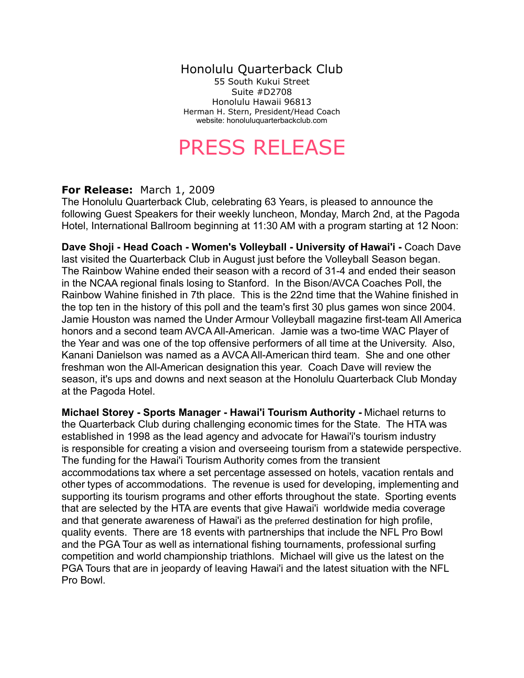## Honolulu Quarterback Club

55 South Kukui Street Suite #D2708 Honolulu Hawaii 96813 Herman H. Stern, President/Head Coach website: honoluluquarterbackclub.com

## PRESS RELEASE

## **For Release:** March 1, 2009

The Honolulu Quarterback Club, celebrating 63 Years, is pleased to announce the following Guest Speakers for their weekly luncheon, Monday, March 2nd, at the Pagoda Hotel, International Ballroom beginning at 11:30 AM with a program starting at 12 Noon:

**Dave Shoji - Head Coach - Women's Volleyball - University of Hawai'i -** Coach Dave last visited the Quarterback Club in August just before the Volleyball Season began. The Rainbow Wahine ended their season with a record of 31-4 and ended their season in the NCAA regional finals losing to Stanford. In the Bison/AVCA Coaches Poll, the Rainbow Wahine finished in 7th place. This is the 22nd time that the Wahine finished in the top ten in the history of this poll and the team's first 30 plus games won since 2004. Jamie Houston was named the Under Armour Volleyball magazine first-team All America honors and a second team AVCA All-American. Jamie was a two-time WAC Player of the Year and was one of the top offensive performers of all time at the University. Also, Kanani Danielson was named as a AVCA All-American third team. She and one other freshman won the All-American designation this year. Coach Dave will review the season, it's ups and downs and next season at the Honolulu Quarterback Club Monday at the Pagoda Hotel.

**Michael Storey - Sports Manager - Hawai'i Tourism Authority -** Michael returns to the Quarterback Club during challenging economic times for the State. The HTA was established in 1998 as the lead agency and advocate for Hawai'i's tourism industry is responsible for creating a vision and overseeing tourism from a statewide perspective. The funding for the Hawai'i Tourism Authority comes from the transient accommodations tax where a set percentage assessed on hotels, vacation rentals and other types of accommodations. The revenue is used for developing, implementing and supporting its tourism programs and other efforts throughout the state. Sporting events that are selected by the HTA are events that give Hawai'i worldwide media coverage and that generate awareness of Hawai'i as the preferred destination for high profile, quality events. There are 18 events with partnerships that include the NFL Pro Bowl and the PGA Tour as well as international fishing tournaments, professional surfing competition and world championship triathlons. Michael will give us the latest on the PGA Tours that are in jeopardy of leaving Hawai'i and the latest situation with the NFL Pro Bowl.